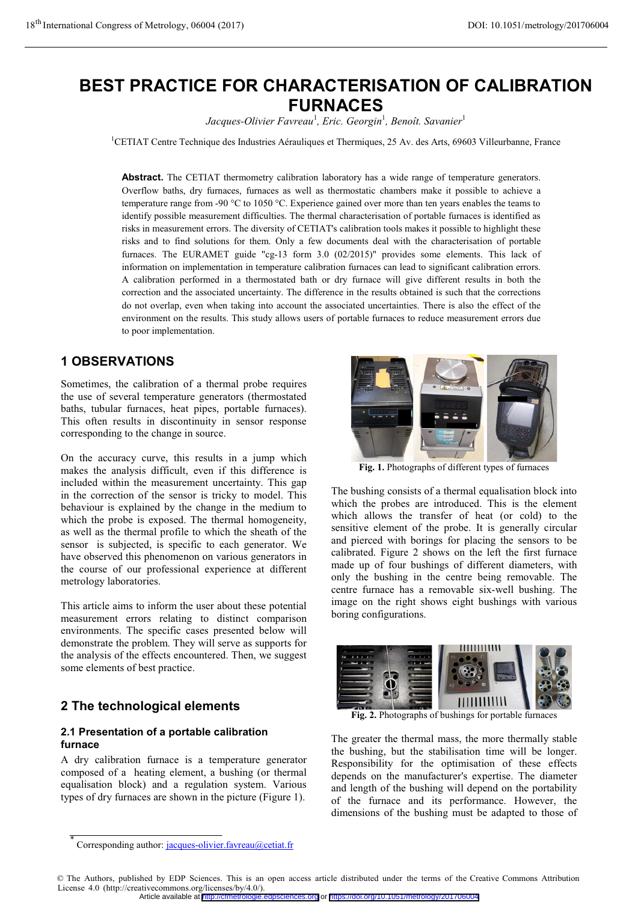### **BEST PRACTICE FOR CHARACTERISATION OF CALIBRATION FURNACES**

**FURNACES**  *Jacques-Olivier Favreau*<sup>1</sup> *, Eric. Georgin*<sup>1</sup> *, Benoît. Savanier*<sup>1</sup>

<sup>1</sup>CETIAT Centre Technique des Industries Aérauliques et Thermiques, 25 Av. des Arts, 69603 Villeurbanne, France

Abstract. The CETIAT thermometry calibration laboratory has a wide range of temperature generators. Overflow baths, dry furnaces, furnaces as well as thermostatic chambers make it possible to achieve a temperature range from -90 °C to 1050 °C. Experience gained over more than ten years enables the teams to identify possible measurement difficulties. The thermal characterisation of portable furnaces is identified as risks in measurement errors. The diversity of CETIAT's calibration tools makes it possible to highlight these risks and to find solutions for them. Only a few documents deal with the characterisation of portable furnaces. The EURAMET guide "cg-13 form 3.0 (02/2015)" provides some elements. This lack of information on implementation in temperature calibration furnaces can lead to significant calibration errors. A calibration performed in a thermostated bath or dry furnace will give different results in both the correction and the associated uncertainty. The difference in the results obtained is such that the corrections do not overlap, even when taking into account the associated uncertainties. There is also the effect of the environment on the results. This study allows users of portable furnaces to reduce measurement errors due to poor implementation.

#### **1 OBSERVATIONS 1 OBSERVATIONS**

Sometimes, the calibration of a thermal probe requires the use of several temperature generators (thermostated baths, tubular furnaces, heat pipes, portable furnaces). This often results in discontinuity in sensor response corresponding to the change in source.

On the accuracy curve, this results in a jump which makes the analysis difficult, even if this difference is included within the measurement uncertainty. This gap in the correction of the sensor is tricky to model. This behaviour is explained by the change in the medium to which the probe is exposed. The thermal homogeneity, as well as the thermal profile to which the sheath of the sensor is subjected, is specific to each generator. We have observed this phenomenon on various generators in the course of our professional experience at different metrology laboratories.

This article aims to inform the user about these potential measurement errors relating to distinct comparison environments. The specific cases presented below will demonstrate the problem. They will serve as supports for the analysis of the effects encountered. Then, we suggest some elements of best practice.

# **2 The technological elements**

# **2.1 Presentation of a portable calibration**

**furnace**  A dry calibration furnace is a temperature generator composed of a heating element, a bushing (or thermal equalisation block) and a regulation system. Various types of dry furnaces are shown in the picture (Figure 1).





**Fig. 1.** Photographs of different types of furnaces

The bushing consists of a thermal equalisation block into which the probes are introduced. This is the element which allows the transfer of heat (or cold) to the sensitive element of the probe. It is generally circular and pierced with borings for placing the sensors to be calibrated. Figure 2 shows on the left the first furnace made up of four bushings of different diameters, with only the bushing in the centre being removable. The centre furnace has a removable six-well bushing. The image on the right shows eight bushings with various boring configurations.



**Fig. 2.** Photographs of bushings for portable furnaces

The greater the thermal mass, the more thermally stable the bushing, but the stabilisation time will be longer. Responsibility for the optimisation of these effects depends on the manufacturer's expertise. The diameter and length of the bushing will depend on the portability of the furnace and its performance. However, the dimensions of the bushing must be adapted to those of

Article available at <http://cfmetrologie.edpsciences.org> or <https://doi.org/10.1051/metrology/201706004>

<sup>©</sup> The Authors, published by EDP Sciences. This is an open access article distributed under the terms of the Creative Commons Attribution License 4.0 (http://creativecommons.org/licenses/by/4.0/).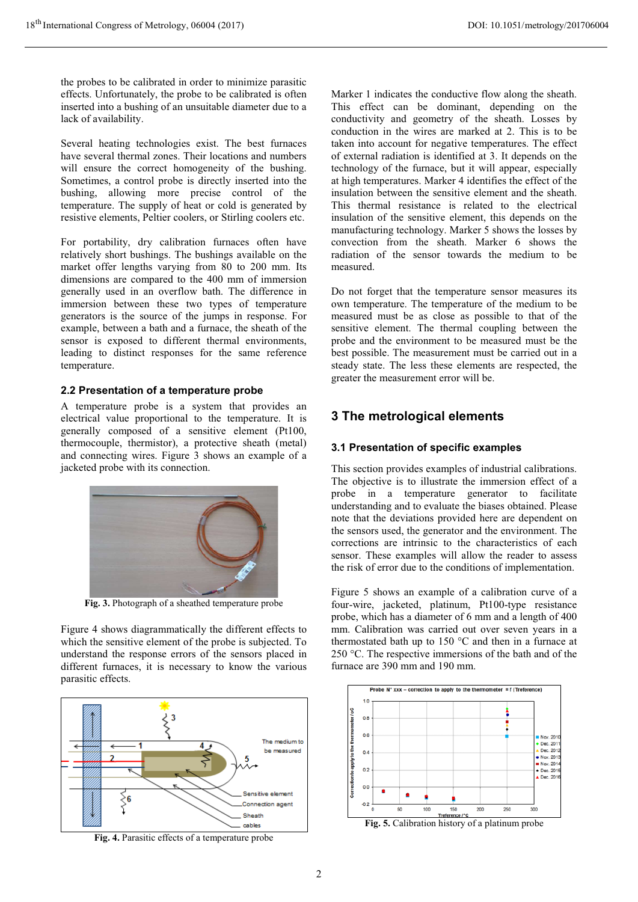the probes to be calibrated in order to minimize parasitic effects. Unfortunately, the probe to be calibrated is often inserted into a bushing of an unsuitable diameter due to a lack of availability.

Several heating technologies exist. The best furnaces have several thermal zones. Their locations and numbers will ensure the correct homogeneity of the bushing. Sometimes, a control probe is directly inserted into the bushing, allowing more precise control of the temperature. The supply of heat or cold is generated by resistive elements, Peltier coolers, or Stirling coolers etc.

For portability, dry calibration furnaces often have relatively short bushings. The bushings available on the market offer lengths varying from 80 to 200 mm. Its dimensions are compared to the 400 mm of immersion generally used in an overflow bath. The difference in immersion between these two types of temperature generators is the source of the jumps in response. For example, between a bath and a furnace, the sheath of the sensor is exposed to different thermal environments, leading to distinct responses for the same reference temperature.

**2.2 Presentation of a temperature probe**  A temperature probe is a system that provides an electrical value proportional to the temperature. It is generally composed of a sensitive element (Pt100, thermocouple, thermistor), a protective sheath (metal) and connecting wires. Figure 3 shows an example of a jacketed probe with its connection.



**Fig. 3.** Photograph of a sheathed temperature probe

Figure 4 shows diagrammatically the different effects to which the sensitive element of the probe is subjected. To understand the response errors of the sensors placed in different furnaces, it is necessary to know the various parasitic effects.



**Fig. 4.** Parasitic effects of a temperature probe

Marker 1 indicates the conductive flow along the sheath. This effect can be dominant, depending on the conductivity and geometry of the sheath. Losses by conduction in the wires are marked at 2. This is to be taken into account for negative temperatures. The effect of external radiation is identified at 3. It depends on the technology of the furnace, but it will appear, especially at high temperatures. Marker 4 identifies the effect of the insulation between the sensitive element and the sheath. This thermal resistance is related to the electrical insulation of the sensitive element, this depends on the manufacturing technology. Marker 5 shows the losses by convection from the sheath. Marker 6 shows the radiation of the sensor towards the medium to be measured.

Do not forget that the temperature sensor measures its own temperature. The temperature of the medium to be measured must be as close as possible to that of the sensitive element. The thermal coupling between the probe and the environment to be measured must be the best possible. The measurement must be carried out in a steady state. The less these elements are respected, the greater the measurement error will be.

## **3 The metrological elements**

### **3.1 Presentation of specific examples**

This section provides examples of industrial calibrations. The objective is to illustrate the immersion effect of a probe in a temperature generator to facilitate understanding and to evaluate the biases obtained. Please note that the deviations provided here are dependent on the sensors used, the generator and the environment. The corrections are intrinsic to the characteristics of each sensor. These examples will allow the reader to assess the risk of error due to the conditions of implementation.

Figure 5 shows an example of a calibration curve of a four-wire, jacketed, platinum, Pt100-type resistance probe, which has a diameter of 6 mm and a length of 400 mm. Calibration was carried out over seven years in a thermostated bath up to 150 °C and then in a furnace at 250 °C. The respective immersions of the bath and of the furnace are 390 mm and 190 mm.



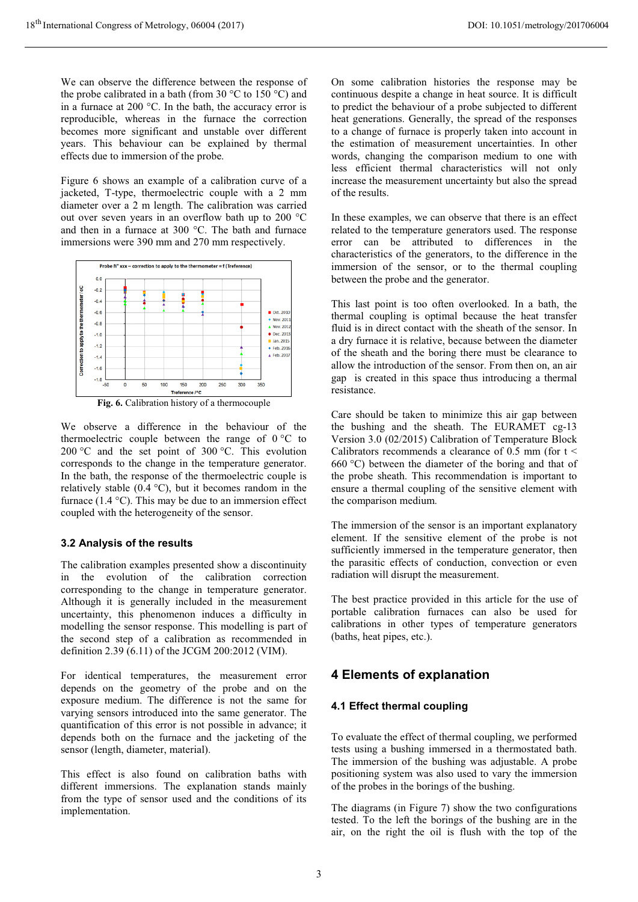We can observe the difference between the response of the probe calibrated in a bath (from 30  $\degree$ C to 150  $\degree$ C) and in a furnace at 200 °C. In the bath, the accuracy error is reproducible, whereas in the furnace the correction becomes more significant and unstable over different years. This behaviour can be explained by thermal effects due to immersion of the probe.

Figure 6 shows an example of a calibration curve of a jacketed, T-type, thermoelectric couple with a 2 mm diameter over a 2 m length. The calibration was carried out over seven years in an overflow bath up to 200 °C and then in a furnace at 300 °C. The bath and furnace immersions were 390 mm and 270 mm respectively.



We observe a difference in the behaviour of the thermoelectric couple between the range of  $0^{\circ}$ C to 200 °C and the set point of 300 °C. This evolution corresponds to the change in the temperature generator. In the bath, the response of the thermoelectric couple is relatively stable  $(0.4 \degree C)$ , but it becomes random in the furnace  $(1.4 \text{ °C})$ . This may be due to an immersion effect coupled with the heterogeneity of the sensor.

#### **3.2 Analysis of the results**

The calibration examples presented show a discontinuity in the evolution of the calibration correction corresponding to the change in temperature generator. Although it is generally included in the measurement uncertainty, this phenomenon induces a difficulty in modelling the sensor response. This modelling is part of the second step of a calibration as recommended in definition 2.39 (6.11) of the JCGM 200:2012 (VIM).

For identical temperatures, the measurement error depends on the geometry of the probe and on the exposure medium. The difference is not the same for varying sensors introduced into the same generator. The quantification of this error is not possible in advance; it depends both on the furnace and the jacketing of the sensor (length, diameter, material).

This effect is also found on calibration baths with different immersions. The explanation stands mainly from the type of sensor used and the conditions of its implementation.

On some calibration histories the response may be continuous despite a change in heat source. It is difficult to predict the behaviour of a probe subjected to different heat generations. Generally, the spread of the responses to a change of furnace is properly taken into account in the estimation of measurement uncertainties. In other words, changing the comparison medium to one with less efficient thermal characteristics will not only increase the measurement uncertainty but also the spread of the results.

In these examples, we can observe that there is an effect related to the temperature generators used. The response error can be attributed to differences in the characteristics of the generators, to the difference in the immersion of the sensor, or to the thermal coupling between the probe and the generator.

This last point is too often overlooked. In a bath, the thermal coupling is optimal because the heat transfer fluid is in direct contact with the sheath of the sensor. In a dry furnace it is relative, because between the diameter of the sheath and the boring there must be clearance to allow the introduction of the sensor. From then on, an air gap is created in this space thus introducing a thermal resistance.

Care should be taken to minimize this air gap between the bushing and the sheath. The EURAMET cg-13 Version 3.0 (02/2015) Calibration of Temperature Block Calibrators recommends a clearance of  $0.5$  mm (for  $t <$ 660 °C) between the diameter of the boring and that of the probe sheath. This recommendation is important to ensure a thermal coupling of the sensitive element with the comparison medium.

The immersion of the sensor is an important explanatory element. If the sensitive element of the probe is not sufficiently immersed in the temperature generator, then the parasitic effects of conduction, convection or even radiation will disrupt the measurement.

The best practice provided in this article for the use of portable calibration furnaces can also be used for calibrations in other types of temperature generators (baths, heat pipes, etc.).

## **4 Elements of explanation**

### **4.1 Effect thermal coupling**

To evaluate the effect of thermal coupling, we performed tests using a bushing immersed in a thermostated bath. The immersion of the bushing was adjustable. A probe positioning system was also used to vary the immersion of the probes in the borings of the bushing.

The diagrams (in Figure 7) show the two configurations tested. To the left the borings of the bushing are in the air, on the right the oil is flush with the top of the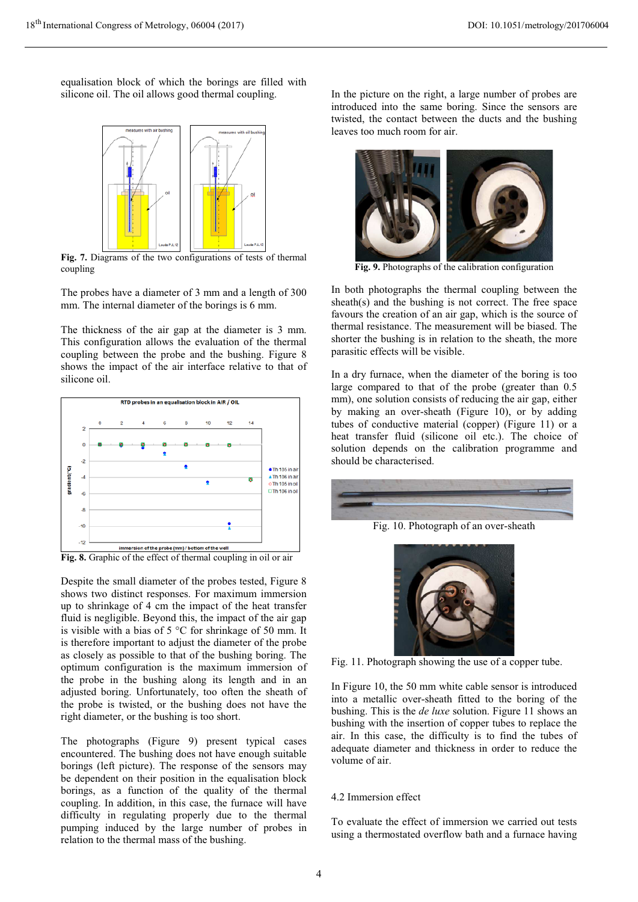equalisation block of which the borings are filled with silicone oil. The oil allows good thermal coupling.



**Fig. 7.** Diagrams of the two configurations of tests of thermal coupling

The probes have a diameter of 3 mm and a length of 300 mm. The internal diameter of the borings is 6 mm.

The thickness of the air gap at the diameter is 3 mm. This configuration allows the evaluation of the thermal coupling between the probe and the bushing. Figure 8 shows the impact of the air interface relative to that of silicone oil.



**Fig. 8.** Graphic of the effect of thermal coupling in oil or air

Despite the small diameter of the probes tested, Figure 8 shows two distinct responses. For maximum immersion up to shrinkage of 4 cm the impact of the heat transfer fluid is negligible. Beyond this, the impact of the air gap is visible with a bias of 5 °C for shrinkage of 50 mm. It is therefore important to adjust the diameter of the probe as closely as possible to that of the bushing boring. The optimum configuration is the maximum immersion of the probe in the bushing along its length and in an adjusted boring. Unfortunately, too often the sheath of the probe is twisted, or the bushing does not have the right diameter, or the bushing is too short.

The photographs (Figure 9) present typical cases encountered. The bushing does not have enough suitable borings (left picture). The response of the sensors may be dependent on their position in the equalisation block borings, as a function of the quality of the thermal coupling. In addition, in this case, the furnace will have difficulty in regulating properly due to the thermal pumping induced by the large number of probes in relation to the thermal mass of the bushing.

In the picture on the right, a large number of probes are introduced into the same boring. Since the sensors are twisted, the contact between the ducts and the bushing leaves too much room for air.



**Fig. 9.** Photographs of the calibration configuration

In both photographs the thermal coupling between the sheath(s) and the bushing is not correct. The free space favours the creation of an air gap, which is the source of thermal resistance. The measurement will be biased. The shorter the bushing is in relation to the sheath, the more parasitic effects will be visible.

In a dry furnace, when the diameter of the boring is too large compared to that of the probe (greater than 0.5 mm), one solution consists of reducing the air gap, either by making an over-sheath (Figure 10), or by adding tubes of conductive material (copper) (Figure 11) or a heat transfer fluid (silicone oil etc.). The choice of solution depends on the calibration programme and should be characterised.



Fig. 10. Photograph of an over-sheath



Fig. 11. Photograph showing the use of a copper tube.

In Figure 10, the 50 mm white cable sensor is introduced into a metallic over-sheath fitted to the boring of the bushing. This is the *de luxe* solution. Figure 11 shows an bushing with the insertion of copper tubes to replace the air. In this case, the difficulty is to find the tubes of adequate diameter and thickness in order to reduce the volume of air.

#### 4.2 Immersion effect

To evaluate the effect of immersion we carried out tests using a thermostated overflow bath and a furnace having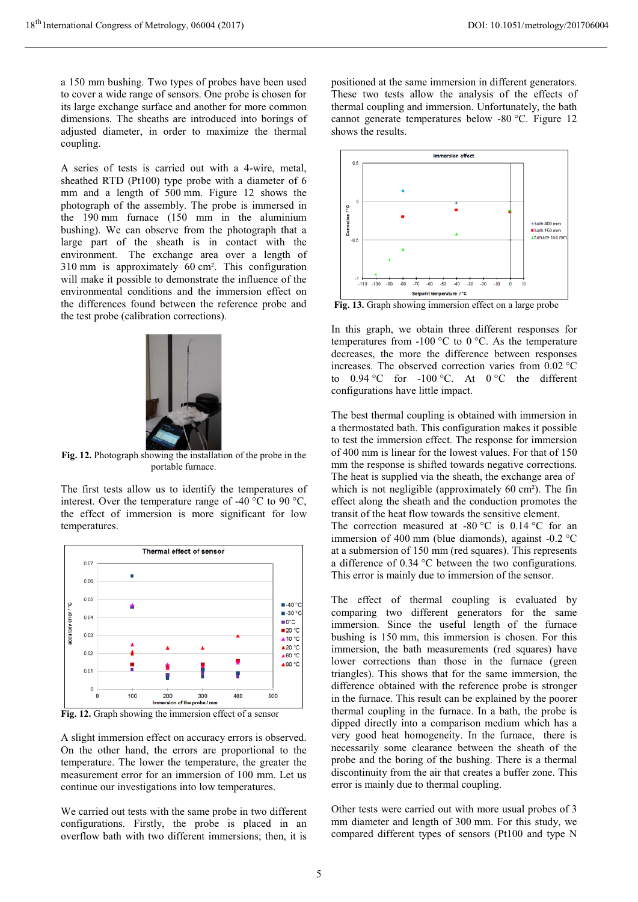a 150 mm bushing. Two types of probes have been used to cover a wide range of sensors. One probe is chosen for its large exchange surface and another for more common dimensions. The sheaths are introduced into borings of adjusted diameter, in order to maximize the thermal coupling.

A series of tests is carried out with a 4-wire, metal, sheathed RTD (Pt100) type probe with a diameter of 6 mm and a length of 500 mm. Figure 12 shows the photograph of the assembly. The probe is immersed in the 190 mm furnace (150 mm in the aluminium bushing). We can observe from the photograph that a large part of the sheath is in contact with the environment. The exchange area over a length of 310 mm is approximately 60 cm². This configuration will make it possible to demonstrate the influence of the environmental conditions and the immersion effect on the differences found between the reference probe and the test probe (calibration corrections).



**Fig. 12.** Photograph showing the installation of the probe in the portable furnace.

The first tests allow us to identify the temperatures of interest. Over the temperature range of -40 °C to 90 °C, the effect of immersion is more significant for low temperatures.



**Fig. 12.** Graph showing the immersion effect of a sensor

A slight immersion effect on accuracy errors is observed. On the other hand, the errors are proportional to the temperature. The lower the temperature, the greater the measurement error for an immersion of 100 mm. Let us continue our investigations into low temperatures.

We carried out tests with the same probe in two different configurations. Firstly, the probe is placed in an overflow bath with two different immersions; then, it is positioned at the same immersion in different generators. These two tests allow the analysis of the effects of thermal coupling and immersion. Unfortunately, the bath cannot generate temperatures below -80 °C. Figure 12 shows the results.



**Fig. 13.** Graph showing immersion effect on a large probe

In this graph, we obtain three different responses for temperatures from  $-100$  °C to 0 °C. As the temperature decreases, the more the difference between responses increases. The observed correction varies from 0.02 °C to  $0.94 \,^{\circ}\text{C}$  for -100  $^{\circ}\text{C}$ . At  $0 \,^{\circ}\text{C}$  the different configurations have little impact.

The best thermal coupling is obtained with immersion in a thermostated bath. This configuration makes it possible to test the immersion effect. The response for immersion of 400 mm is linear for the lowest values. For that of 150 mm the response is shifted towards negative corrections. The heat is supplied via the sheath, the exchange area of which is not negligible (approximately 60 cm<sup>2</sup>). The fin effect along the sheath and the conduction promotes the transit of the heat flow towards the sensitive element. The correction measured at -80  $^{\circ}$ C is 0.14  $^{\circ}$ C for an immersion of 400 mm (blue diamonds), against -0.2 °C at a submersion of 150 mm (red squares). This represents a difference of 0.34 °C between the two configurations. This error is mainly due to immersion of the sensor.

The effect of thermal coupling is evaluated by comparing two different generators for the same immersion. Since the useful length of the furnace bushing is 150 mm, this immersion is chosen. For this immersion, the bath measurements (red squares) have lower corrections than those in the furnace (green triangles). This shows that for the same immersion, the difference obtained with the reference probe is stronger in the furnace. This result can be explained by the poorer thermal coupling in the furnace. In a bath, the probe is dipped directly into a comparison medium which has a very good heat homogeneity. In the furnace, there is necessarily some clearance between the sheath of the probe and the boring of the bushing. There is a thermal discontinuity from the air that creates a buffer zone. This error is mainly due to thermal coupling.

Other tests were carried out with more usual probes of 3 mm diameter and length of 300 mm. For this study, we compared different types of sensors (Pt100 and type N